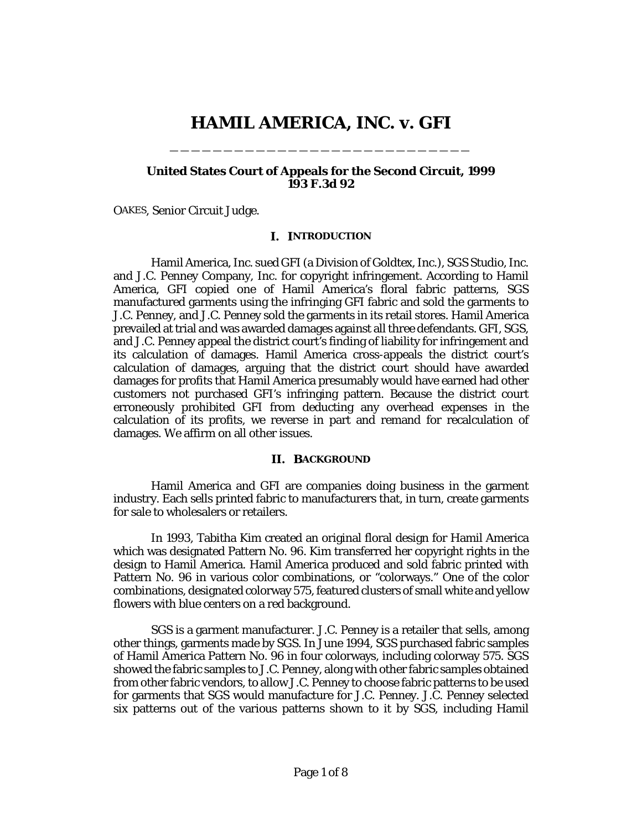# **HAMIL AMERICA, INC. v. GFI**

\_\_\_\_\_\_\_\_\_\_\_\_\_\_\_\_\_\_\_\_\_\_\_\_\_\_\_\_

## **United States Court of Appeals for the Second Circuit, 1999 193 F.3d 92**

OAKES, Senior Circuit Judge.

#### **I. INTRODUCTION**

Hamil America, Inc. sued GFI (a Division of Goldtex, Inc.), SGS Studio, Inc. and J.C. Penney Company, Inc. for copyright infringement. According to Hamil America, GFI copied one of Hamil America's floral fabric patterns, SGS manufactured garments using the infringing GFI fabric and sold the garments to J.C. Penney, and J.C. Penney sold the garments in its retail stores. Hamil America prevailed at trial and was awarded damages against all three defendants. GFI, SGS, and J.C. Penney appeal the district court's finding of liability for infringement and its calculation of damages. Hamil America cross-appeals the district court's calculation of damages, arguing that the district court should have awarded damages for profits that Hamil America presumably would have earned had other customers not purchased GFI's infringing pattern. Because the district court erroneously prohibited GFI from deducting any overhead expenses in the calculation of its profits, we reverse in part and remand for recalculation of damages. We affirm on all other issues.

## **II. BACKGROUND**

Hamil America and GFI are companies doing business in the garment industry. Each sells printed fabric to manufacturers that, in turn, create garments for sale to wholesalers or retailers.

In 1993, Tabitha Kim created an original floral design for Hamil America which was designated Pattern No. 96. Kim transferred her copyright rights in the design to Hamil America. Hamil America produced and sold fabric printed with Pattern No. 96 in various color combinations, or "colorways." One of the color combinations, designated colorway 575, featured clusters of small white and yellow flowers with blue centers on a red background.

SGS is a garment manufacturer. J.C. Penney is a retailer that sells, among other things, garments made by SGS. In June 1994, SGS purchased fabric samples of Hamil America Pattern No. 96 in four colorways, including colorway 575. SGS showed the fabric samples to J.C. Penney, along with other fabric samples obtained from other fabric vendors, to allow J.C. Penney to choose fabric patterns to be used for garments that SGS would manufacture for J.C. Penney. J.C. Penney selected six patterns out of the various patterns shown to it by SGS, including Hamil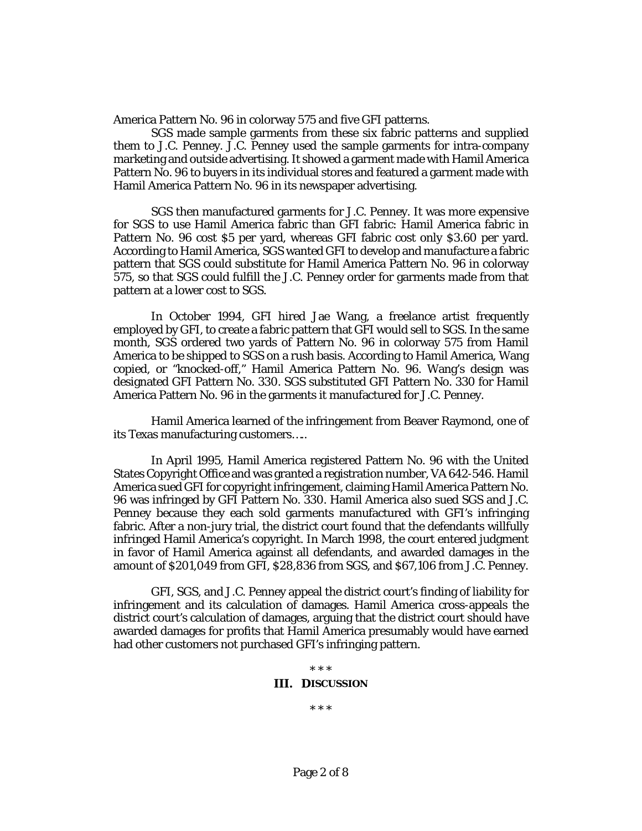America Pattern No. 96 in colorway 575 and five GFI patterns.

SGS made sample garments from these six fabric patterns and supplied them to J.C. Penney. J.C. Penney used the sample garments for intra-company marketing and outside advertising. It showed a garment made with Hamil America Pattern No. 96 to buyers in its individual stores and featured a garment made with Hamil America Pattern No. 96 in its newspaper advertising.

SGS then manufactured garments for J.C. Penney. It was more expensive for SGS to use Hamil America fabric than GFI fabric: Hamil America fabric in Pattern No. 96 cost \$5 per yard, whereas GFI fabric cost only \$3.60 per yard. According to Hamil America, SGS wanted GFI to develop and manufacture a fabric pattern that SGS could substitute for Hamil America Pattern No. 96 in colorway 575, so that SGS could fulfill the J.C. Penney order for garments made from that pattern at a lower cost to SGS.

In October 1994, GFI hired Jae Wang, a freelance artist frequently employed by GFI, to create a fabric pattern that GFI would sell to SGS. In the same month, SGS ordered two yards of Pattern No. 96 in colorway 575 from Hamil America to be shipped to SGS on a rush basis. According to Hamil America, Wang copied, or "knocked-off," Hamil America Pattern No. 96. Wang's design was designated GFI Pattern No. 330. SGS substituted GFI Pattern No. 330 for Hamil America Pattern No. 96 in the garments it manufactured for J.C. Penney.

Hamil America learned of the infringement from Beaver Raymond, one of its Texas manufacturing customers…..

In April 1995, Hamil America registered Pattern No. 96 with the United States Copyright Office and was granted a registration number, VA 642-546. Hamil America sued GFI for copyright infringement, claiming Hamil America Pattern No. 96 was infringed by GFI Pattern No. 330. Hamil America also sued SGS and J.C. Penney because they each sold garments manufactured with GFI's infringing fabric. After a non-jury trial, the district court found that the defendants willfully infringed Hamil America's copyright. In March 1998, the court entered judgment in favor of Hamil America against all defendants, and awarded damages in the amount of \$201,049 from GFI, \$28,836 from SGS, and \$67,106 from J.C. Penney.

GFI, SGS, and J.C. Penney appeal the district court's finding of liability for infringement and its calculation of damages. Hamil America cross-appeals the district court's calculation of damages, arguing that the district court should have awarded damages for profits that Hamil America presumably would have earned had other customers not purchased GFI's infringing pattern.

\* \* \*

## **III. DISCUSSION**

\* \* \*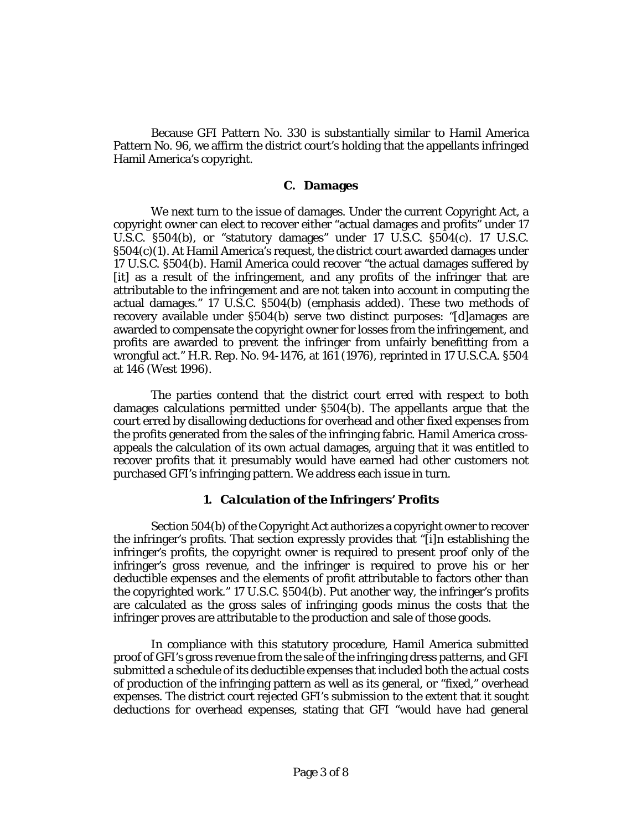Because GFI Pattern No. 330 is substantially similar to Hamil America Pattern No. 96, we affirm the district court's holding that the appellants infringed Hamil America's copyright.

#### **C. Damages**

We next turn to the issue of damages. Under the current Copyright Act, a copyright owner can elect to recover either "actual damages and profits" under 17 U.S.C. §504(b), or "statutory damages" under 17 U.S.C. §504(c). 17 U.S.C. §504(c)(1). At Hamil America's request, the district court awarded damages under 17 U.S.C. §504(b). Hamil America could recover "the actual damages suffered by [it] as a result of the infringement, *and* any profits of the infringer that are attributable to the infringement and are not taken into account in computing the actual damages." 17 U.S.C. §504(b) (emphasis added). These two methods of recovery available under §504(b) serve two distinct purposes: "[d]amages are awarded to compensate the copyright owner for losses from the infringement, and profits are awarded to prevent the infringer from unfairly benefitting from a wrongful act." H.R. Rep. No. 94-1476, at 161 (1976), reprinted in 17 U.S.C.A. §504 at 146 (West 1996).

The parties contend that the district court erred with respect to both damages calculations permitted under §504(b). The appellants argue that the court erred by disallowing deductions for overhead and other fixed expenses from the profits generated from the sales of the infringing fabric. Hamil America crossappeals the calculation of its own actual damages, arguing that it was entitled to recover profits that it presumably would have earned had other customers not purchased GFI's infringing pattern. We address each issue in turn.

# *1. Calculation of the Infringers' Profits*

Section 504(b) of the Copyright Act authorizes a copyright owner to recover the infringer's profits. That section expressly provides that "[i]n establishing the infringer's profits, the copyright owner is required to present proof only of the infringer's gross revenue, and the infringer is required to prove his or her deductible expenses and the elements of profit attributable to factors other than the copyrighted work." 17 U.S.C. §504(b). Put another way, the infringer's profits are calculated as the gross sales of infringing goods minus the costs that the infringer proves are attributable to the production and sale of those goods.

In compliance with this statutory procedure, Hamil America submitted proof of GFI's gross revenue from the sale of the infringing dress patterns, and GFI submitted a schedule of its deductible expenses that included both the actual costs of production of the infringing pattern as well as its general, or "fixed," overhead expenses. The district court rejected GFI's submission to the extent that it sought deductions for overhead expenses, stating that GFI "would have had general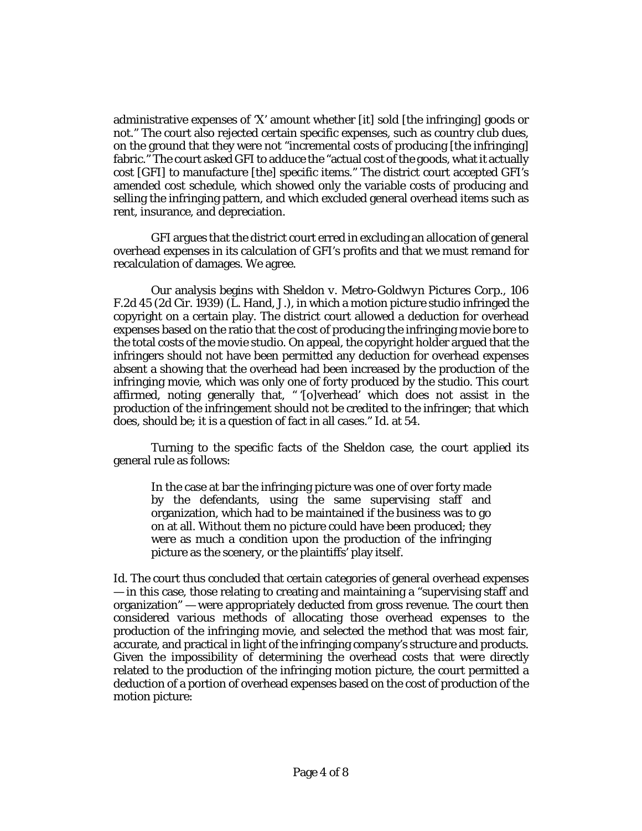administrative expenses of 'X' amount whether [it] sold [the infringing] goods or not." The court also rejected certain specific expenses, such as country club dues, on the ground that they were not "incremental costs of producing [the infringing] fabric." The court asked GFI to adduce the "actual cost of the goods, what it actually cost [GFI] to manufacture [the] specific items." The district court accepted GFI's amended cost schedule, which showed only the variable costs of producing and selling the infringing pattern, and which excluded general overhead items such as rent, insurance, and depreciation.

GFI argues that the district court erred in excluding an allocation of general overhead expenses in its calculation of GFI's profits and that we must remand for recalculation of damages. We agree.

Our analysis begins with *Sheldon v. Metro-Goldwyn Pictures Corp.*, 106 F.2d 45 (2d Cir. 1939) (L. Hand, J*.*), in which a motion picture studio infringed the copyright on a certain play. The district court allowed a deduction for overhead expenses based on the ratio that the cost of producing the infringing movie bore to the total costs of the movie studio. On appeal, the copyright holder argued that the infringers should not have been permitted any deduction for overhead expenses absent a showing that the overhead had been increased by the production of the infringing movie, which was only one of forty produced by the studio. This court affirmed, noting generally that, " '[o]verhead' which does not assist in the production of the infringement should not be credited to the infringer; that which does, should be; it is a question of fact in all cases." *Id.* at 54.

Turning to the specific facts of the *Sheldon* case, the court applied its general rule as follows:

In the case at bar the infringing picture was one of over forty made by the defendants, using the same supervising staff and organization, which had to be maintained if the business was to go on at all. Without them no picture could have been produced; they were as much a condition upon the production of the infringing picture as the scenery, or the plaintiffs' play itself.

*Id.* The court thus concluded that certain categories of general overhead expenses — in this case, those relating to creating and maintaining a "supervising staff and organization" — were appropriately deducted from gross revenue. The court then considered various methods of allocating those overhead expenses to the production of the infringing movie, and selected the method that was most fair, accurate, and practical in light of the infringing company's structure and products. Given the impossibility of determining the overhead costs that were directly related to the production of the infringing motion picture, the court permitted a deduction of a portion of overhead expenses based on the cost of production of the motion picture: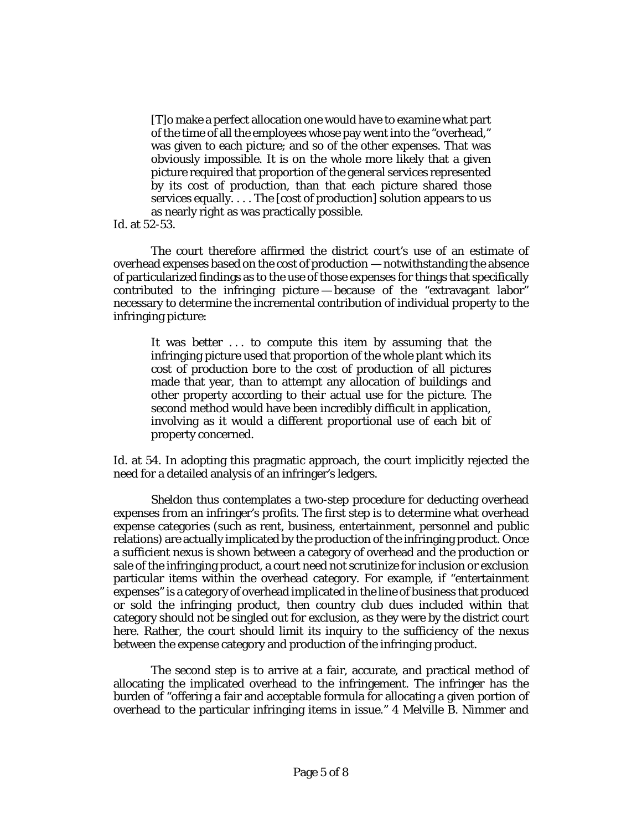[T]o make a perfect allocation one would have to examine what part of the time of all the employees whose pay went into the "overhead," was given to each picture; and so of the other expenses. That was obviously impossible. It is on the whole more likely that a given picture required that proportion of the general services represented by its cost of production, than that each picture shared those services equally. . . . The [cost of production] solution appears to us as nearly right as was practically possible.

*Id.* at 52-53.

The court therefore affirmed the district court's use of an estimate of overhead expenses based on the cost of production — notwithstanding the absence of particularized findings as to the use of those expenses for things that specifically contributed to the infringing picture — because of the "extravagant labor" necessary to determine the incremental contribution of individual property to the infringing picture:

It was better ... to compute this item by assuming that the infringing picture used that proportion of the whole plant which its cost of production bore to the cost of production of all pictures made that year, than to attempt any allocation of buildings and other property according to their actual use for the picture. The second method would have been incredibly difficult in application, involving as it would a different proportional use of each bit of property concerned.

*Id.* at 54. In adopting this pragmatic approach, the court implicitly rejected the need for a detailed analysis of an infringer's ledgers.

*Sheldon* thus contemplates a two-step procedure for deducting overhead expenses from an infringer's profits. The first step is to determine what overhead expense categories (such as rent, business, entertainment, personnel and public relations) are actually implicated by the production of the infringing product. Once a sufficient nexus is shown between a category of overhead and the production or sale of the infringing product, a court need not scrutinize for inclusion or exclusion particular items within the overhead category. For example, if "entertainment expenses" is a category of overhead implicated in the line of business that produced or sold the infringing product, then country club dues included within that category should not be singled out for exclusion, as they were by the district court here. Rather, the court should limit its inquiry to the sufficiency of the nexus between the expense category and production of the infringing product.

The second step is to arrive at a fair, accurate, and practical method of allocating the implicated overhead to the infringement. The infringer has the burden of "offering a fair and acceptable formula for allocating a given portion of overhead to the particular infringing items in issue." 4 Melville B. Nimmer and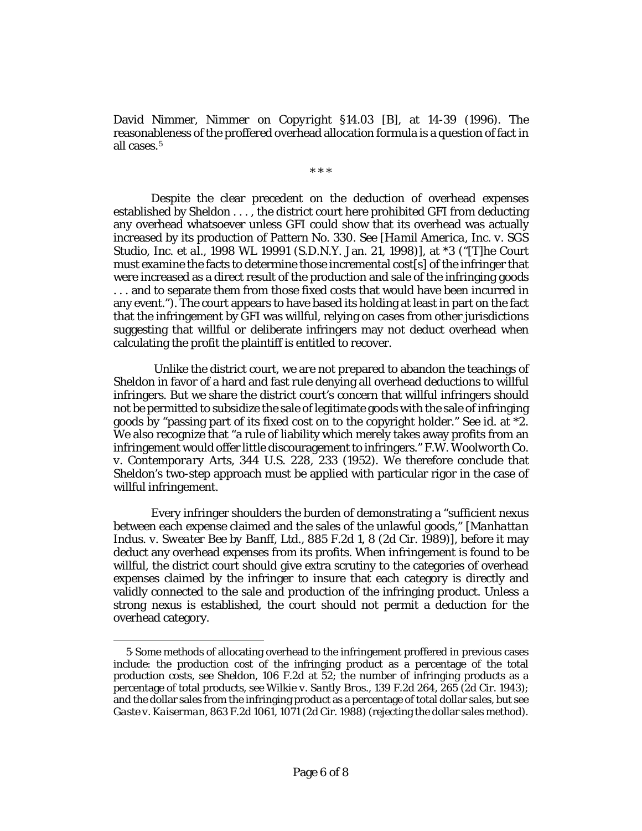David Nimmer, *Nimmer on Copyright* §14.03 [B], at 14-39 (1996). The reasonableness of the proffered overhead allocation formula is a question of fact in all cases.[5](#page-5-0)

\* \* \*

Despite the clear precedent on the deduction of overhead expenses established by *Sheldon . . .* , the district court here prohibited GFI from deducting any overhead whatsoever unless GFI could show that its overhead was actually increased by its production of Pattern No. 330. *See* [*Hamil America, Inc. v. SGS Studio, Inc. et al.*, 1998 WL 19991 (S.D.N.Y. Jan. 21, 1998)], at \*3 ("[T]he Court must examine the facts to determine those incremental cost[s] of the infringer that were increased as a direct result of the production and sale of the infringing goods . . . and to separate them from those fixed costs that would have been incurred in any event."). The court appears to have based its holding at least in part on the fact that the infringement by GFI was willful, relying on cases from other jurisdictions suggesting that willful or deliberate infringers may not deduct overhead when calculating the profit the plaintiff is entitled to recover.

Unlike the district court, we are not prepared to abandon the teachings of *Sheldon* in favor of a hard and fast rule denying all overhead deductions to willful infringers. But we share the district court's concern that willful infringers should not be permitted to subsidize the sale of legitimate goods with the sale of infringing goods by "passing part of its fixed cost on to the copyright holder." *See id.* at \*2. We also recognize that "a rule of liability which merely takes away profits from an infringement would offer little discouragement to infringers." *F.W. Woolworth Co. v. Contemporary Arts*, 344 U.S. 228, 233 (1952). We therefore conclude that *Sheldon*'s two-step approach must be applied with particular rigor in the case of willful infringement.

Every infringer shoulders the burden of demonstrating a "sufficient nexus between each expense claimed and the sales of the unlawful goods," [*Manhattan Indus. v. Sweater Bee by Banff, Ltd.*, 885 F.2d 1, 8 (2d Cir. 1989)], before it may deduct any overhead expenses from its profits. When infringement is found to be willful, the district court should give extra scrutiny to the categories of overhead expenses claimed by the infringer to insure that each category is directly and validly connected to the sale and production of the infringing product. Unless a strong nexus is established, the court should not permit a deduction for the overhead category.

 $\overline{a}$ 

<span id="page-5-0"></span><sup>5.</sup> Some methods of allocating overhead to the infringement proffered in previous cases include: the production cost of the infringing product as a percentage of the total production costs, *see Sheldon*, 106 F.2d at 52; the number of infringing products as a percentage of total products, *see Wilkie v. Santly Bros.*, 139 F.2d 264, 265 (2d Cir. 1943); and the dollar sales from the infringing product as a percentage of total dollar sales, *but see Gaste v. Kaiserman*, 863 F.2d 1061, 1071 (2d Cir. 1988) (rejecting the dollar sales method).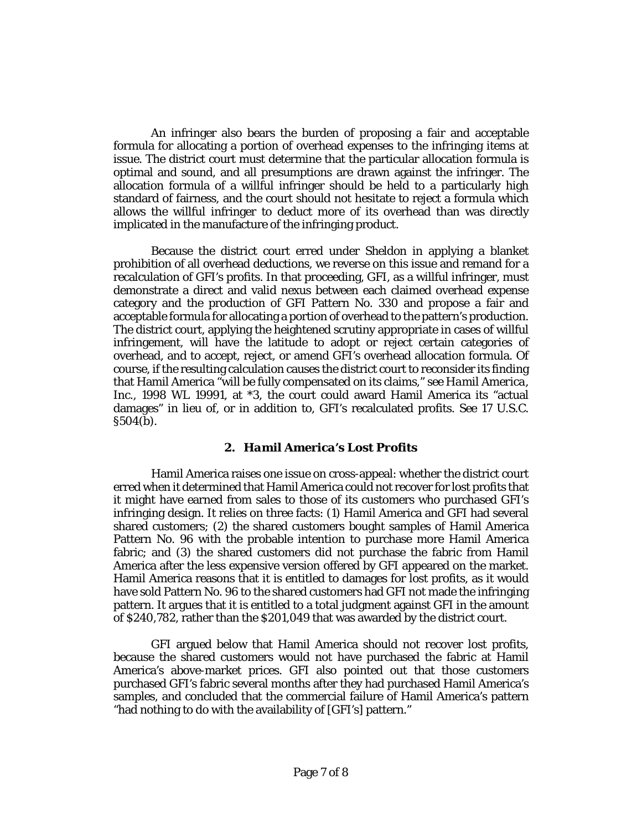An infringer also bears the burden of proposing a fair and acceptable formula for allocating a portion of overhead expenses to the infringing items at issue. The district court must determine that the particular allocation formula is optimal and sound, and all presumptions are drawn against the infringer. The allocation formula of a willful infringer should be held to a particularly high standard of fairness, and the court should not hesitate to reject a formula which allows the willful infringer to deduct more of its overhead than was directly implicated in the manufacture of the infringing product.

Because the district court erred under *Sheldon* in applying a blanket prohibition of all overhead deductions, we reverse on this issue and remand for a recalculation of GFI's profits. In that proceeding, GFI, as a willful infringer, must demonstrate a direct and valid nexus between each claimed overhead expense category and the production of GFI Pattern No. 330 and propose a fair and acceptable formula for allocating a portion of overhead to the pattern's production. The district court, applying the heightened scrutiny appropriate in cases of willful infringement, will have the latitude to adopt or reject certain categories of overhead, and to accept, reject, or amend GFI's overhead allocation formula. Of course, if the resulting calculation causes the district court to reconsider its finding that Hamil America "will be fully compensated on its claims," *see Hamil America, Inc.*, 1998 WL 19991, at \*3, the court could award Hamil America its "actual damages" in lieu of, or in addition to, GFI's recalculated profits. *See* 17 U.S.C.  $$504(b).$ 

# *2. Hamil America's Lost Profits*

Hamil America raises one issue on cross-appeal: whether the district court erred when it determined that Hamil America could not recover for lost profits that it might have earned from sales to those of its customers who purchased GFI's infringing design. It relies on three facts: (1) Hamil America and GFI had several shared customers; (2) the shared customers bought samples of Hamil America Pattern No. 96 with the probable intention to purchase more Hamil America fabric; and (3) the shared customers did not purchase the fabric from Hamil America after the less expensive version offered by GFI appeared on the market. Hamil America reasons that it is entitled to damages for lost profits, as it would have sold Pattern No. 96 to the shared customers had GFI not made the infringing pattern. It argues that it is entitled to a total judgment against GFI in the amount of \$240,782, rather than the \$201,049 that was awarded by the district court.

GFI argued below that Hamil America should not recover lost profits, because the shared customers would not have purchased the fabric at Hamil America's above-market prices. GFI also pointed out that those customers purchased GFI's fabric several months after they had purchased Hamil America's samples, and concluded that the commercial failure of Hamil America's pattern "had nothing to do with the availability of [GFI's] pattern."